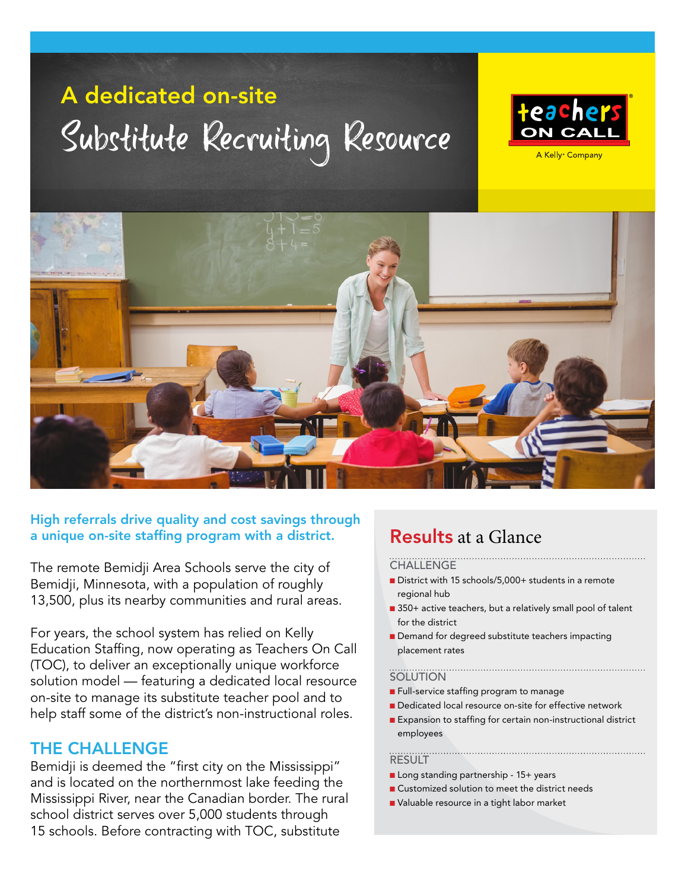# A dedicated on-site Substitute Recruiting Resource

= =



A Kelly<sup>®</sup> Company



## High referrals drive quality and cost savings through a unique on-site staffing program with a district.

The remote Bemidji Area Schools serve the city of Bemidji, Minnesota, with a population of roughly 13,500, plus its nearby communities and rural areas.

For years, the school system has relied on Kelly Education Staffing, now operating as Teachers On Call (TOC), to deliver an exceptionally unique workforce solution model — featuring a dedicated local resource on-site to manage its substitute teacher pool and to help staff some of the district's non-instructional roles.

# THE CHALLENGE

Bemidji is deemed the "first city on the Mississippi" and is located on the northernmost lake feeding the Mississippi River, near the Canadian border. The rural school district serves over 5,000 students through 15 schools. Before contracting with TOC, substitute

# Results at a Glance

#### CHALLENGE

- District with 15 schools/5,000+ students in a remote regional hub
- 350+ active teachers, but a relatively small pool of talent for the district
- Demand for degreed substitute teachers impacting placement rates

#### **SOLUTION**

- Full-service staffing program to manage
- Dedicated local resource on-site for effective network
- Expansion to staffing for certain non-instructional district employees
- **RESULT**
- Long standing partnership 15+ years
- Customized solution to meet the district needs
- Valuable resource in a tight labor market